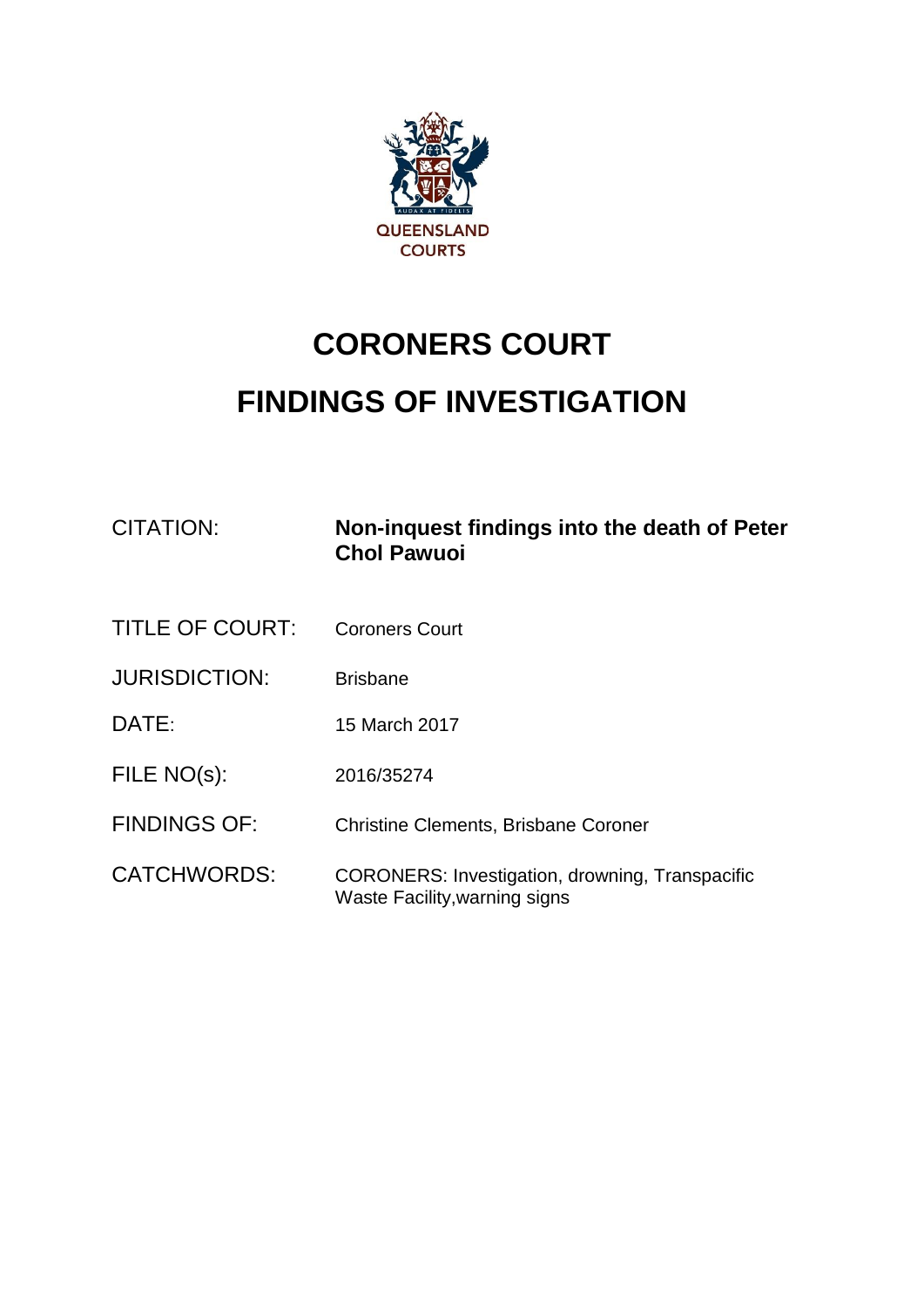

## **CORONERS COURT FINDINGS OF INVESTIGATION**

| CITATION:              | Non-inquest findings into the death of Peter<br><b>Chol Pawuoi</b>                      |
|------------------------|-----------------------------------------------------------------------------------------|
| <b>TITLE OF COURT:</b> | <b>Coroners Court</b>                                                                   |
| <b>JURISDICTION:</b>   | <b>Brisbane</b>                                                                         |
| DATE:                  | 15 March 2017                                                                           |
| FILE NO(s):            | 2016/35274                                                                              |
| <b>FINDINGS OF:</b>    | <b>Christine Clements, Brisbane Coroner</b>                                             |
| <b>CATCHWORDS:</b>     | <b>CORONERS: Investigation, drowning, Transpacific</b><br>Waste Facility, warning signs |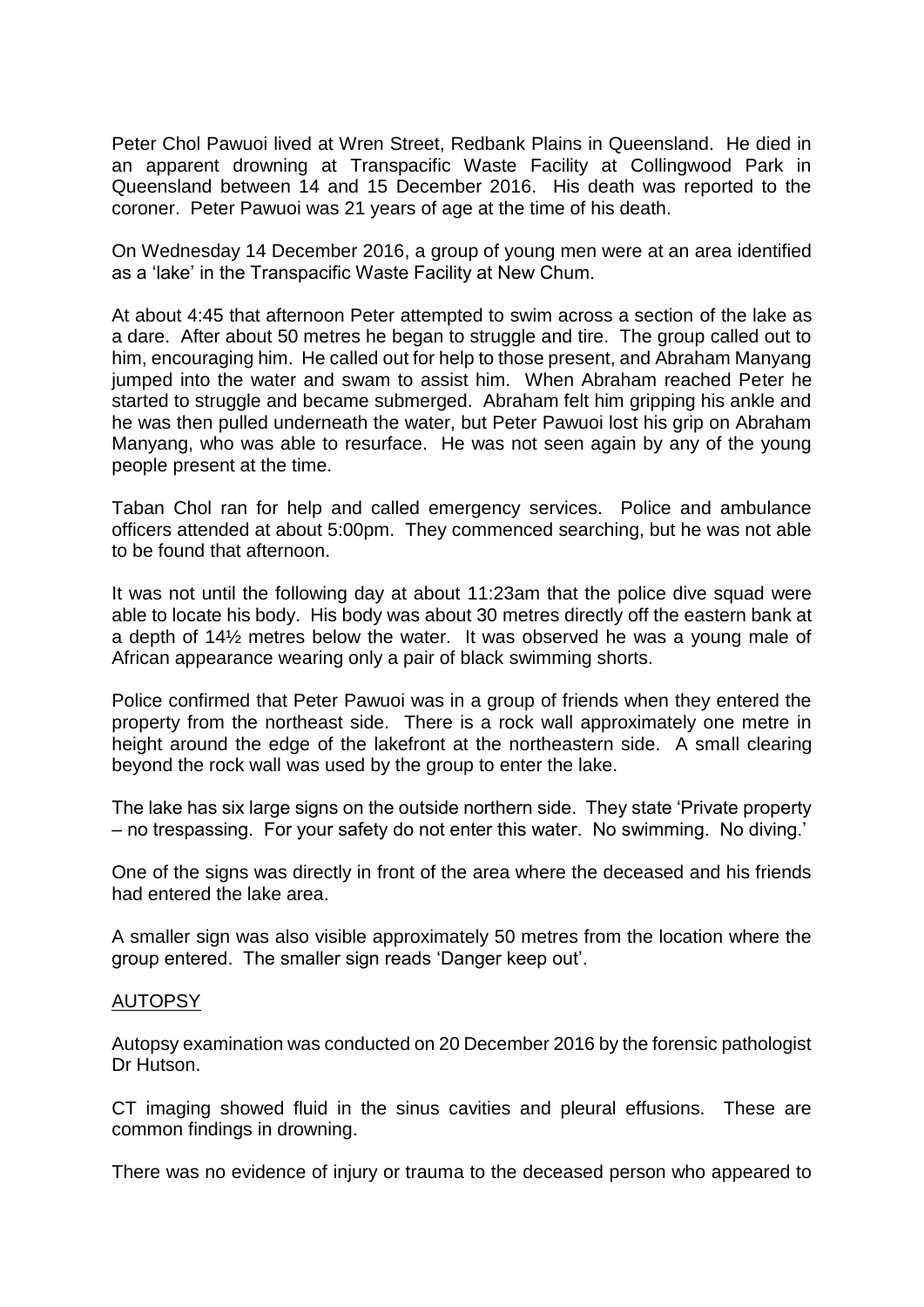Peter Chol Pawuoi lived at Wren Street, Redbank Plains in Queensland. He died in an apparent drowning at Transpacific Waste Facility at Collingwood Park in Queensland between 14 and 15 December 2016. His death was reported to the coroner. Peter Pawuoi was 21 years of age at the time of his death.

On Wednesday 14 December 2016, a group of young men were at an area identified as a 'lake' in the Transpacific Waste Facility at New Chum.

At about 4:45 that afternoon Peter attempted to swim across a section of the lake as a dare. After about 50 metres he began to struggle and tire. The group called out to him, encouraging him. He called out for help to those present, and Abraham Manyang jumped into the water and swam to assist him. When Abraham reached Peter he started to struggle and became submerged. Abraham felt him gripping his ankle and he was then pulled underneath the water, but Peter Pawuoi lost his grip on Abraham Manyang, who was able to resurface. He was not seen again by any of the young people present at the time.

Taban Chol ran for help and called emergency services. Police and ambulance officers attended at about 5:00pm. They commenced searching, but he was not able to be found that afternoon.

It was not until the following day at about 11:23am that the police dive squad were able to locate his body. His body was about 30 metres directly off the eastern bank at a depth of 14½ metres below the water. It was observed he was a young male of African appearance wearing only a pair of black swimming shorts.

Police confirmed that Peter Pawuoi was in a group of friends when they entered the property from the northeast side. There is a rock wall approximately one metre in height around the edge of the lakefront at the northeastern side. A small clearing beyond the rock wall was used by the group to enter the lake.

The lake has six large signs on the outside northern side. They state 'Private property – no trespassing. For your safety do not enter this water. No swimming. No diving.'

One of the signs was directly in front of the area where the deceased and his friends had entered the lake area.

A smaller sign was also visible approximately 50 metres from the location where the group entered. The smaller sign reads 'Danger keep out'.

## AUTOPSY

Autopsy examination was conducted on 20 December 2016 by the forensic pathologist Dr Hutson.

CT imaging showed fluid in the sinus cavities and pleural effusions. These are common findings in drowning.

There was no evidence of injury or trauma to the deceased person who appeared to